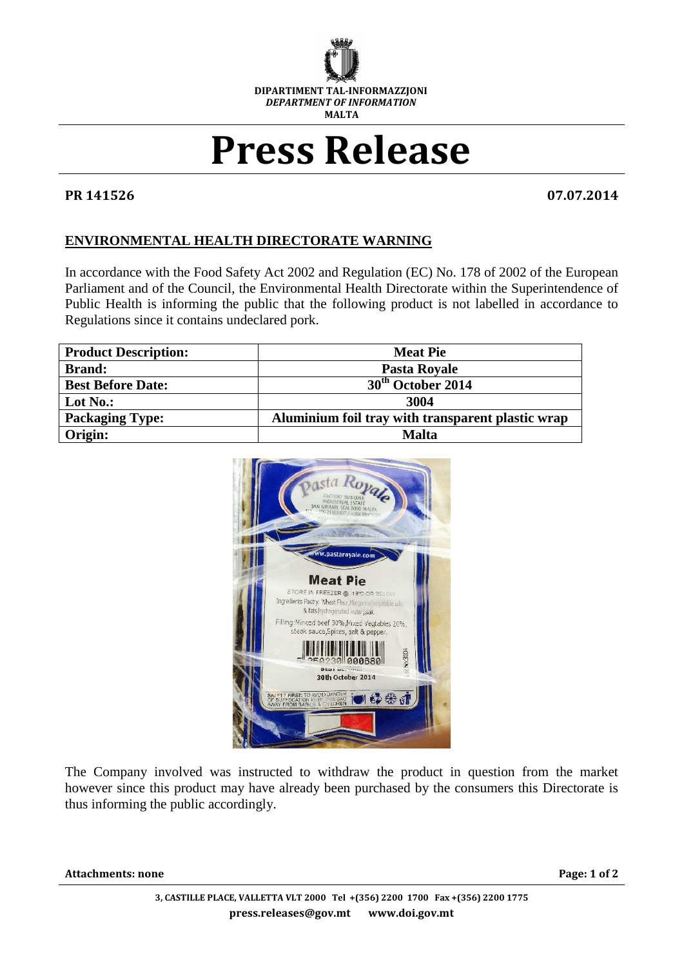

## **Press Release**

## **PR 141526 07.07.2014**

## **ENVIRONMENTAL HEALTH DIRECTORATE WARNING**

In accordance with the Food Safety Act 2002 and Regulation (EC) No. 178 of 2002 of the European Parliament and of the Council, the Environmental Health Directorate within the Superintendence of Public Health is informing the public that the following product is not labelled in accordance to Regulations since it contains undeclared pork.

| <b>Product Description:</b> | <b>Meat Pie</b>                                   |
|-----------------------------|---------------------------------------------------|
| <b>Brand:</b>               | Pasta Royale                                      |
| <b>Best Before Date:</b>    | 30 <sup>th</sup> October 2014                     |
| Lot $No.$ :                 | 3004                                              |
| <b>Packaging Type:</b>      | Aluminium foil tray with transparent plastic wrap |
| Origin:                     | <b>Malta</b>                                      |



The Company involved was instructed to withdraw the product in question from the market however since this product may have already been purchased by the consumers this Directorate is thus informing the public accordingly.